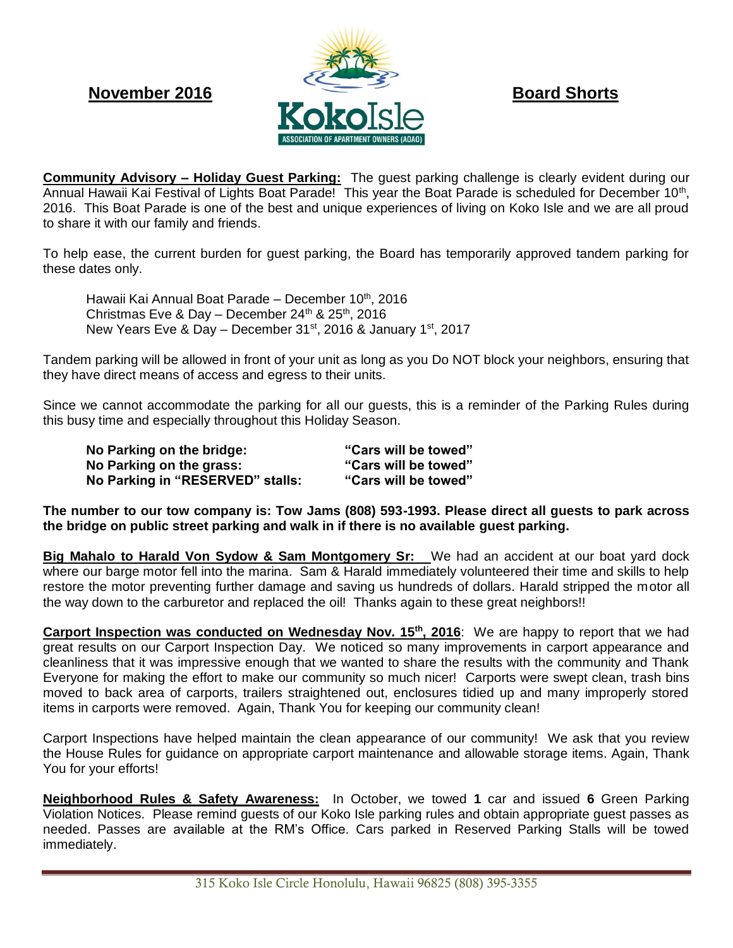

**Community Advisory – Holiday Guest Parking:** The guest parking challenge is clearly evident during our Annual Hawaii Kai Festival of Lights Boat Parade! This year the Boat Parade is scheduled for December 10<sup>th</sup>, 2016. This Boat Parade is one of the best and unique experiences of living on Koko Isle and we are all proud to share it with our family and friends.

To help ease, the current burden for guest parking, the Board has temporarily approved tandem parking for these dates only.

Hawaii Kai Annual Boat Parade – December 10<sup>th</sup>, 2016 Christmas Eve & Day – December  $24^{th}$  &  $25^{th}$ , 2016 New Years Eve & Day – December  $31^{st}$ , 2016 & January  $1^{st}$ , 2017

Tandem parking will be allowed in front of your unit as long as you Do NOT block your neighbors, ensuring that they have direct means of access and egress to their units.

Since we cannot accommodate the parking for all our guests, this is a reminder of the Parking Rules during this busy time and especially throughout this Holiday Season.

**No Parking on the bridge: "Cars will be towed" No Parking on the grass: "Cars will be towed" No Parking in "RESERVED" stalls: "Cars will be towed"**

**The number to our tow company is: Tow Jams (808) 593-1993. Please direct all guests to park across the bridge on public street parking and walk in if there is no available guest parking.**

**Big Mahalo to Harald Von Sydow & Sam Montgomery Sr:** We had an accident at our boat yard dock where our barge motor fell into the marina. Sam & Harald immediately volunteered their time and skills to help restore the motor preventing further damage and saving us hundreds of dollars. Harald stripped the motor all the way down to the carburetor and replaced the oil! Thanks again to these great neighbors!!

**Carport Inspection was conducted on Wednesday Nov. 15th, 2016**: We are happy to report that we had great results on our Carport Inspection Day. We noticed so many improvements in carport appearance and cleanliness that it was impressive enough that we wanted to share the results with the community and Thank Everyone for making the effort to make our community so much nicer! Carports were swept clean, trash bins moved to back area of carports, trailers straightened out, enclosures tidied up and many improperly stored items in carports were removed. Again, Thank You for keeping our community clean!

Carport Inspections have helped maintain the clean appearance of our community! We ask that you review the House Rules for guidance on appropriate carport maintenance and allowable storage items. Again, Thank You for your efforts!

**Neighborhood Rules & Safety Awareness:** In October, we towed **1** car and issued **6** Green Parking Violation Notices. Please remind guests of our Koko Isle parking rules and obtain appropriate guest passes as needed. Passes are available at the RM's Office. Cars parked in Reserved Parking Stalls will be towed immediately.